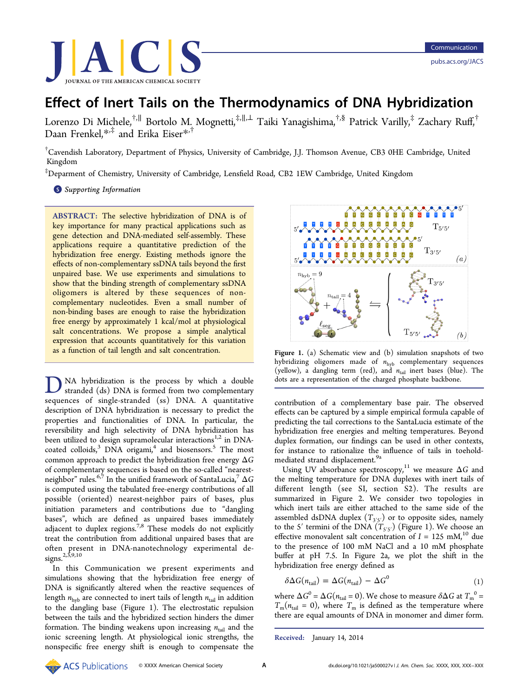<span id="page-0-0"></span>

# Effect of Inert Tails on the Thermodynamics of DNA Hybridization

Lorenzo Di Michele,†,[∥](#page-2-0) Bortolo M. Mognetti,‡,[∥](#page-2-0),[⊥](#page-2-0) Taiki Yanagishima,†,[§](#page-2-0) Patrick Varilly,‡ Zachary Ruff, † Daan Frenkel,[\\*](#page-2-0),‡ and Erika Eiser[\\*](#page-2-0),†

† Cavendish Laboratory, Department of Physics, University of Cambridge, J.J. Thomson Avenue, CB3 0HE Cambridge, United Kingdom

‡ Deparment of Chemistry, University of Cambridge, Lensfield Road, CB2 1EW Cambridge, United Kingdom

**S** [Supporting Information](#page-2-0)

ABSTRACT: The selective hybridization of DNA is of key importance for many practical applications such as gene detection and DNA-mediated self-assembly. These applications require a quantitative prediction of the hybridization free energy. Existing methods ignore the effects of non-complementary ssDNA tails beyond the first unpaired base. We use experiments and simulations to show that the binding strength of complementary ssDNA oligomers is altered by these sequences of noncomplementary nucleotides. Even a small number of non-binding bases are enough to raise the hybridization free energy by approximately 1 kcal/mol at physiological salt concentrations. We propose a simple analytical expression that accounts quantitatively for this variation as a function of tail length and salt concentration.

NA hybridization is the process by which a double stranded (ds) DNA is formed from two complementary sequences of single-stranded (ss) DNA. A quantitative description of DNA hybridization is necessary to predict the properties and functionalities of DNA. In particular, the reversibility and high selectivity of DNA hybridization has been utilized to design supramolecular interactions<sup>1,2</sup> in DNAcoated colloids, $3$  DNA origami, $4$  and biosensors.<sup>[5](#page-2-0)</sup> [T](#page-2-0)he most common appro[ac](#page-3-0)h to pr[e](#page-3-0)dict the hybridization free energy  $\Delta G$ of complementary sequences is based on the so-called "nearestneighbor" rules.<sup>6,7</sup> In the unified framework of SantaLucia,<sup>7</sup>  $\Delta G$ is computed us[ing](#page-3-0) the tabulated free-energy contributions [o](#page-3-0)f all possible (oriented) nearest-neighbor pairs of bases, plus initiation parameters and contributions due to "dangling bases", which are defined as unpaired bases immediately adjacent to duplex regions.<sup>7,8</sup> These models do not explicitly treat the contribution from [ad](#page-3-0)ditional unpaired bases that are often present in DNA-nanotechnology experimental designs.<sup>2,3,9,10</sup>

In [this](#page-3-0) Communication we present experiments and simulations showing that the hybridization free energy of DNA is significantly altered when the reactive sequences of length  $n_{\text{hvb}}$  are connected to inert tails of length  $n_{\text{tail}}$  in addition to the dangling base (Figure 1). The electrostatic repulsion between the tails and the hybridized section hinders the dimer formation. The binding weakens upon increasing  $n_{tail}$  and the ionic screening length. At physiological ionic strengths, the nonspecific free energy shift is enough to compensate the



Figure 1. (a) Schematic view and (b) simulation snapshots of two hybridizing oligomers made of  $n_{\text{hyb}}$  complementary sequences (yellow), a dangling term (red), and  $n_{tail}$  inert bases (blue). The dots are a representation of the charged phosphate backbone.

contribution of a complementary base pair. The observed effects can be captured by a simple empirical formula capable of predicting the tail corrections to the SantaLucia estimate of the hybridization free energies and melting temperatures. Beyond duplex formation, our findings can be used in other contexts, for instance to rationalize the influence of tails in toeholdmediated strand displacement.<sup>9a</sup>

Using UV absorbance spec[tro](#page-3-0)scopy,<sup>11</sup> we measure  $\Delta G$  and the melting temperature for DNA du[ple](#page-3-0)xes with inert tails of different length (see SI, section S2). The results are summarized in Figure [2.](#page-2-0) We consider two topologies in which inert tails are eit[he](#page-1-0)r attached to the same side of the assembled dsDNA duplex  $(T_{3'5'})$  or to opposite sides, namely to the 5' termini of the DNA  $(T_{5'5'})$  (Figure 1). We choose an effective monovalent salt concentration of  $I = 125$  mM,<sup>10</sup> due to the presence of 100 mM NaCl and a 10 mM ph[osp](#page-3-0)hate buffer at pH 7.5. In Figure 2a, we plot the shift in the hybridization free energy defin[ed](#page-1-0) as

$$
\delta \Delta G(n_{\text{tail}}) = \Delta G(n_{\text{tail}}) - \Delta G^0 \tag{1}
$$

where  $\Delta G^0$  =  $\Delta G (n_{\rm tail}$  = 0). We chose to measure  $\delta \Delta G$  at  ${T_{\rm m}}^0$  =  $T_m(n_{tail} = 0)$ , where  $T_m$  is defined as the temperature where there are equal amounts of DNA in monomer and dimer form.

```
Received: January 14, 2014
```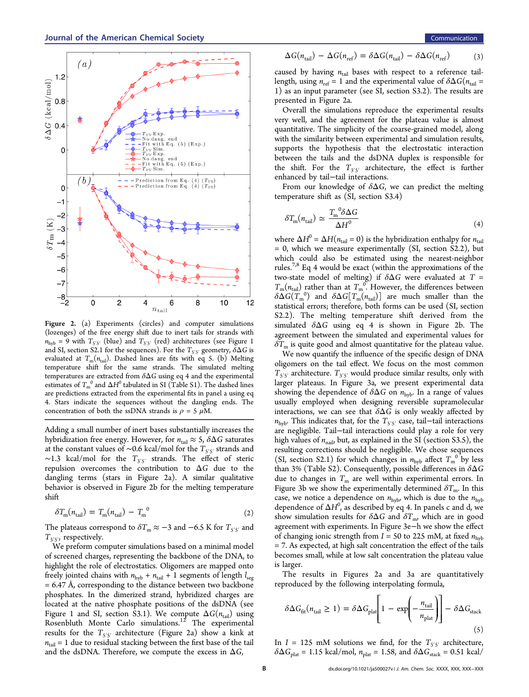<span id="page-1-0"></span>

Figure 2. (a) Experiments (circles) and computer simulations (lozenges) of the free energy shift due to inert tails for strands with  $n_{\text{hyb}} = 9$  with  $T_{5/5'}$  (blue) and  $T_{3/5'}$  (red) architectures (see Figure 1 and SI, section S2.1 for the sequences). For the  $T_{5'5'}$  geometry,  $\delta \Delta G$  [is](#page-0-0) eval[uat](#page-2-0)ed at  $T_m(n_{tail})$ . Dashed lines are fits with eq 5. (b) Melting temperature shift for the same strands. The simulated melting temperatures are extracted from  $\delta \Delta G$  using eq 4 and the experimental estimates of  $T_{\rm m}^{\ \ 0}$  and  $\Delta H^0$  tabulated in SI (Table S1). The dashed lines are predictions extracted from the exp[erim](#page-2-0)ental fits in panel a using eq 4. Stars indicate the sequences without the dangling ends. The concentration of both the ssDNA strands is  $\rho = 5 \mu M$ .

Adding a small number of inert bases substantially increases the hybridization free energy. However, for  $n_{tail} \approx 5$ ,  $\delta \Delta G$  saturates at the constant values of ∼0.6 kcal/mol for the  $T_{5′5′}}$  strands and  $~\sim$ 1.3 kcal/mol for the  $T_{3'5'}$  strands. The effect of steric repulsion overcomes the contribution to  $\Delta G$  due to the dangling terms (stars in Figure 2a). A similar qualitative behavior is observed in Figure 2b for the melting temperature shift

$$
\delta T_{\rm m}(n_{\rm tail}) = T_{\rm m}(n_{\rm tail}) - T_{\rm m}^{\ 0} \tag{2}
$$

The plateaus correspond to  $\delta T_{\text{m}} \approx -3$  and  $-6.5$  K for  $T_{5'5'}$  and  $T_{3'5'}$ , respectively.

We preform computer simulations based on a minimal model of screened charges, representing the backbone of the DNA, to highlight the role of electrostatics. Oligomers are mapped onto freely jointed chains with  $n_{\text{hyb}} + n_{\text{tail}} + 1$  segments of length  $l_{\text{seg}}$  $= 6.47$  Å, corresponding to the distance between two backbone phosphates. In the dimerized strand, hybridized charges are located at the native phosphate positions of the dsDNA (see Figure 1 and SI, section S3.1). We compute  $\Delta G(n_{tail})$  using Rosenb[lu](#page-0-0)th [Mon](#page-2-0)te Carlo simulations.<sup>12</sup> The experimental r[e](#page-3-0)sults for the  $T_{5'5'}$  architecture (Figure 2a) show a kink at  $n<sub>tail</sub> = 1$  due to residual stacking between the first base of the tail and the dsDNA. Therefore, we compute the excess in  $\Delta G$ ,

$$
\Delta G(n_{\text{tail}}) - \Delta G(n_{\text{ref}}) = \delta \Delta G(n_{\text{tail}}) - \delta \Delta G(n_{\text{ref}})
$$
 (3)

caused by having  $n_{tail}$  bases with respect to a reference taillength, using  $n_{\text{ref}} = 1$  and the experimental value of  $\delta \Delta G (n_{\text{tail}} =$ 1) as an input parameter (see [SI](#page-2-0), section S3.2). The results are presented in Figure 2a.

Overall the simulations reproduce the experimental results very well, and the agreement for the plateau value is almost quantitative. The simplicity of the coarse-grained model, along with the similarity between experimental and simulation results, supports the hypothesis that the electrostatic interaction between the tails and the dsDNA duplex is responsible for the shift. For the  $T_{3'5'}$  architecture, the effect is further enhanced by tail−tail interactions.

From our knowledge of  $\delta \Delta G$ , we can predict the melting temperature shift as ([SI,](#page-2-0) section S3.4)

$$
\delta T_{\rm m}(n_{\rm tail}) \simeq \frac{T_{\rm m}^{\ 0} \delta \Delta G}{\Delta H^0} \tag{4}
$$

where  $\Delta H^0 = \Delta H(n_{tail} = 0)$  is the hybridization enthalpy for  $n_{tail}$  $= 0$ , which we measure experimentally (SI, section S2.2), but which could also be estimated using [th](#page-2-0)e nearest-neighbor rules.7,8 Eq 4 would be exact (within the approximations of the two-[stat](#page-3-0)e model of melting) if  $\delta \Delta G$  were evaluated at T =  $T_m(n_{\text{tail}})$  rather than at  $T_m^{\,0}$ . However, the differences between  $\delta \Delta G(T_{\rm m}^{\rm -0})$  and  $\delta \Delta G[T_{\rm m}(n_{\rm tail})]$  are much smaller than the statistical errors; therefore, both forms can be used (SI, section S2.2). The melting temperature shift derived [fro](#page-2-0)m the simulated  $\delta \Delta G$  using eq 4 is shown in Figure 2b. The agreement between the simulated and experimental values for  $\delta T_{\rm m}$  is quite good and almost quantitative for the plateau value.

We now quantify the influence of the specific design of DNA oligomers on the tail effect. We focus on the most common  $T_{5'5'}$  architecture.  $T_{3'5'}$  would produce similar results, only with larger plateaus. In Figure 3a, we present experimental data showing the dependence of  $\delta \Delta G$  on  $n_{\text{hvb}}$ . In a range of values usually employed when designing reversible supramolecular interactions, we can see that  $\delta \Delta G$  is only weakly affected by  $n_{\text{hyb}}$ . This indicates that, for the  $T_{5′5′}}$  case, tail–tail interactions are negligible. Tail−tail interactions could play a role for very high values of  $n_{\text{nail}}$ , but, as explained in the SI (section S3.5), the resulting corrections should be negligible. [W](#page-2-0)e chose sequences (SI, section S2.1) for which changes in  $n_{\text{hyb}}$  affect  $T_{\text{m}}^0$  by less t[ha](#page-2-0)n 3% (Table S2). Consequently, possible differences in  $\delta \Delta G$ due to c[hanges in](#page-2-0)  $T_m$  are well within experimental errors. In Figure 3b we show the experimentally determined  $\delta T_{\text{m}}$ . In this cas[e](#page-2-0), we notice a dependence on  $n_{\text{hyb}}$ , which is due to the  $n_{\text{hyb}}$ dependence of  $\Delta H^0$ , as described by eq 4. In panels c and d, we show simulation results for  $\delta \Delta G$  and  $\delta T_{\text{m}}$ , which are in good agreement with experiments. In Figure 3e−h we show the effect of changing ionic strength from  $I = 50$  [to](#page-2-0) 225 mM, at fixed  $n_{\text{hvb}}$ = 7. As expected, at high salt concentration the effect of the tails becomes small, while at low salt concentration the plateau value is larger.

The results in Figures 2a and 3a are quantitatively reproduced by the following interpolati[ng](#page-2-0) formula,

$$
\delta \Delta G_{\text{fit}}(n_{\text{tail}} \ge 1) = \delta \Delta G_{\text{plat}} \left[ 1 - \exp \left( -\frac{n_{\text{tail}}}{n_{\text{plat}}} \right) \right] - \delta \Delta G_{\text{stack}} \tag{5}
$$

In  $I = 125$  mM solutions we find, for the  $T_{5'5'}$  architecture,  $\delta \Delta G_{\text{plat}} = 1.15 \text{ kcal/mol}, n_{\text{plat}} = 1.58, \text{ and } \delta \Delta G_{\text{stack}} = 0.51 \text{ kcal/}$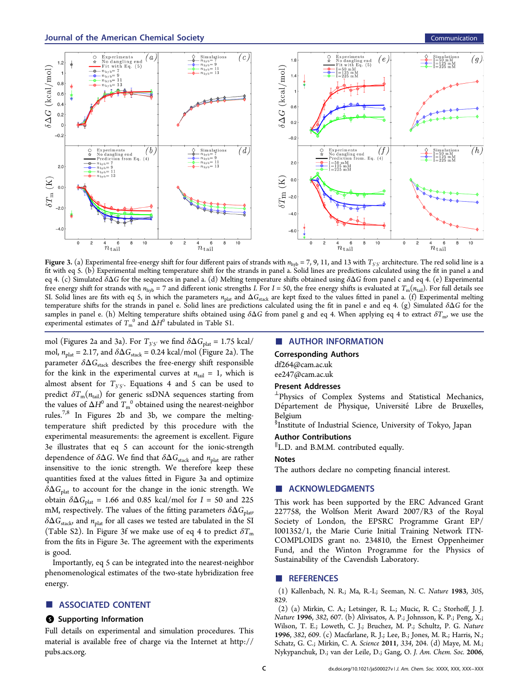<span id="page-2-0"></span>

Figure 3. (a) Experimental free-energy shift for four different pairs of strands with  $n_{\text{hyb}} = 7, 9, 11$ , and 13 with  $T_{5′5′}$  architecture. The red solid line is a fit with eq 5. (b) Experimental melting temperature shift for the strands in panel a. Solid lines are predictions calculated using the fit in panel a and eq 4. (c) S[im](#page-1-0)ulated  $\delta\Delta G$  for the sequences in panel a. (d) Melting temperature shifts obtained using  $\delta\Delta G$  from panel c and eq 4. (e) Experimental fr[e](#page-1-0)e energy shift for strands with  $n_{\text{hyb}} = 7$  and different ionic strengths I. For I = 50, the free energy shifts is evaluated at  $T_m(n_{\text{tail}})$ . For full details see SI. Solid lines are fits with eq 5, in which the parameters  $n_{\text{plat}}$  and  $\Delta G_{\text{stack}}$  are kept fixed to the values fitted in panel a. (f) Experimental melting temperature shifts for the stra[nd](#page-1-0)s in panel e. Solid lines are predictions calculated using the fit in panel e and eq 4. (g) Simulated  $\delta\Delta G$  for the samples in panel e. (h) Melting temperature shifts obtained using  $\delta\Delta G$  from panel g and e[q 4](#page-1-0). When applying eq 4 to extract  $\delta T_{\text{m}}$ , we use the experimental estimates of  $T_{\text{m}}^{\text{o}}$  and  $\Delta H^0$  tabulated in Table S1.

mol (Figures 2a and 3a). For  $T_{3'5'}$  we find  $\delta \Delta G_{\text{plat}} = 1.75 \text{ kcal/}$ mol,  $n_{\text{plat}} = 2.17$  $n_{\text{plat}} = 2.17$ , and  $\delta \Delta G_{\text{stack}} = 0.24$  kcal/mol (Figure 2a). The parameter  $\delta \Delta G_{\rm stack}$  describes the free-energy shift re[sp](#page-1-0)onsible for the kink in the experimental curves at  $n_{tail} = 1$ , which is almost absent for  $T_{3'5'}$ . Equations 4 and 5 can be used to predict  $\delta T_{\text{m}}(n_{\text{tail}})$  for generic ssDN[A](#page-1-0) sequ[en](#page-1-0)ces starting from the values of  $\Delta H^0$  and  $T_{\rm m}^{\;\;0}$  obtained using the nearest-neighbor rules.7,8 In Figures 2b and 3b, we compare the meltingtem[pera](#page-3-0)ture shift [pre](#page-1-0)dicted by this procedure with the experimental measurements: the agreement is excellent. Figure 3e illustrates that eq 5 can account for the ionic-strength dependence of  $\delta \Delta G$ . [We](#page-1-0) find that  $\delta \Delta G_{\text{stack}}$  and  $n_{\text{plat}}$  are rather insensitive to the ionic strength. We therefore keep these quantities fixed at the values fitted in Figure 3a and optimize  $\delta \Delta G_\mathrm{plat}$  to account for the change in the ionic strength. We obtain  $\delta \Delta G_{\text{plat}} = 1.66$  and 0.85 kcal/mol for  $I = 50$  and 225 mM, respectively. The values of the fitting parameters  $\delta \Delta G_{\text{plat}}$  $\delta \Delta G_{\text{stack}}$  and  $n_{\text{plat}}$  for all cases we tested are tabulated in the SI (Table S2). In Figure 3f we make use of eq 4 to predict  $\delta T_{\text{m}}$ from the fits in Figure 3e. The agreement wit[h](#page-1-0) the experiments is good.

Importantly, eq 5 can be integrated into the nearest-neighbor phenomenological [e](#page-1-0)stimates of the two-state hybridization free energy.

## ■ ASSOCIATED CONTENT

## **6** Supporting Information

Full details on experimental and simulation procedures. This material is available free of charge via the Internet at [http://](http://pubs.acs.org) [pubs.acs.org](http://pubs.acs.org).

#### ■ AUTHOR INFORMATION

#### Corresponding Authors

df264@cam.ac.uk

# [ee247@cam.ac.uk](mailto:df264@cam.ac.uk)

## [Present](mailto:ee247@cam.ac.uk) [Addresse](mailto:ee247@cam.ac.uk)s

<sup>⊥</sup>Physics of Complex Systems and Statistical Mechanics, Département de Physique, Université Libre de Bruxelles, Belgium

§ Institute of Industrial Science, University of Tokyo, Japan

## Author Contributions

∥ L.D. and B.M.M. contributed equally.

## **Notes**

The authors declare no competing financial interest.

## ■ ACKNOWLEDGMENTS

This work has been supported by the ERC Advanced Grant 227758, the Wolfson Merit Award 2007/R3 of the Royal Society of London, the EPSRC Programme Grant EP/ I001352/1, the Marie Curie Initial Training Network ITN-COMPLOIDS grant no. 234810, the Ernest Oppenheimer Fund, and the Winton Programme for the Physics of Sustainability of the Cavendish Laboratory.

## ■ REFERENCES

(1) Kallenbach, N. R.; Ma, R.-I.; Seeman, N. C. Nature 1983, 305, 829.

(2) (a) Mirkin, C. A.; Letsinger, R. L.; Mucic, R. C.; Storhoff, J. J. Nature 1996, 382, 607. (b) Alivisatos, A. P.; Johnsson, K. P.; Peng, X.; Wilson, T. E.; Loweth, C. J.; Bruchez, M. P.; Schultz, P. G. Nature 1996, 382, 609. (c) Macfarlane, R. J.; Lee, B.; Jones, M. R.; Harris, N.; Schatz, G. C.; Mirkin, C. A. Science 2011, 334, 204. (d) Maye, M. M.; Nykypanchuk, D.; van der Leile, D.; Gang, O. J. Am. Chem. Soc. 2006,